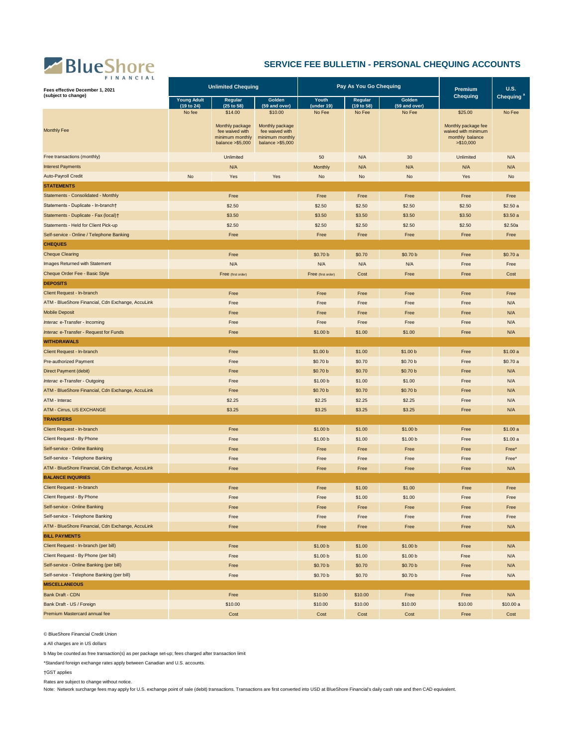## BlueShore

## **SERVICE FEE BULLETIN - PERSONAL CHEQUING ACCOUNTS**

| FINANCIAL<br>Fees effective December 1, 2021<br>(subject to change) | <b>Unlimited Chequing</b>                                                            |                                                                             |                                                                             | Pay As You Go Chequing |                         |          | Premium<br><b>Chequing</b>                                                  | <b>U.S.</b> |
|---------------------------------------------------------------------|--------------------------------------------------------------------------------------|-----------------------------------------------------------------------------|-----------------------------------------------------------------------------|------------------------|-------------------------|----------|-----------------------------------------------------------------------------|-------------|
|                                                                     | <b>Young Adult</b><br>Golden<br>Regular<br>(19 to 24)<br>(25 to 58)<br>(59 and over) |                                                                             | Youth<br>Regular<br>(19 to 58)<br>(under 19)                                |                        | Golden<br>(59 and over) |          | Chequing <sup>a</sup>                                                       |             |
|                                                                     | No fee                                                                               | \$14.00                                                                     | \$10.00                                                                     | No Fee                 | No Fee                  | No Fee   | \$25.00                                                                     | No Fee      |
| <b>Monthly Fee</b>                                                  |                                                                                      | Monthly package<br>fee waived with<br>minimum monthly<br>balance $> $5,000$ | Monthly package<br>fee waived with<br>minimum monthly<br>balance $> $5,000$ |                        |                         |          | Monthly package fee<br>waived with minimum<br>monthly balance<br>> \$10,000 |             |
| Free transactions (monthly)                                         |                                                                                      | Unlimited                                                                   |                                                                             | 50                     | N/A                     | 30       | Unlimited                                                                   | N/A         |
| <b>Interest Payments</b>                                            |                                                                                      | N/A                                                                         |                                                                             | Monthly                | N/A                     | N/A      | N/A                                                                         | N/A         |
| Auto-Payroll Credit                                                 | No                                                                                   | Yes                                                                         | Yes                                                                         | No                     | No                      | No       | Yes                                                                         | No          |
| <b>STATEMENTS</b>                                                   |                                                                                      |                                                                             |                                                                             |                        |                         |          |                                                                             |             |
| Statements - Consolidated - Monthly                                 |                                                                                      | Free                                                                        |                                                                             | Free                   | Free                    | Free     | Free                                                                        | Free        |
| Statements - Duplicate - In-branch†                                 |                                                                                      | \$2.50                                                                      |                                                                             | \$2.50                 | \$2.50                  | \$2.50   | \$2.50                                                                      | \$2.50a     |
| Statements - Duplicate - Fax (local)†                               |                                                                                      | \$3.50                                                                      |                                                                             | \$3.50                 | \$3.50                  | \$3.50   | \$3.50                                                                      | \$3.50a     |
| Statements - Held for Client Pick-up                                |                                                                                      | \$2.50                                                                      |                                                                             | \$2.50                 | \$2.50                  | \$2.50   | \$2.50                                                                      | \$2.50a     |
| Self-service - Online / Telephone Banking                           |                                                                                      | Free                                                                        |                                                                             | Free                   | Free                    | Free     | Free                                                                        | Free        |
| <b>CHEQUES</b>                                                      |                                                                                      |                                                                             |                                                                             |                        |                         |          |                                                                             |             |
| <b>Cheque Clearing</b>                                              |                                                                                      | Free                                                                        |                                                                             | \$0.70 b               | \$0.70                  | \$0.70 b | Free                                                                        | \$0.70 a    |
| Images Returned with Statement                                      |                                                                                      | N/A                                                                         |                                                                             | N/A                    | N/A                     | N/A      | Free                                                                        | Free        |
| Cheque Order Fee - Basic Style                                      |                                                                                      | Free (first order)                                                          |                                                                             | Free (first order)     | Cost                    | Free     | Free                                                                        | Cost        |
| <b>DEPOSITS</b>                                                     |                                                                                      |                                                                             |                                                                             |                        |                         |          |                                                                             |             |
| Client Request - In-branch                                          |                                                                                      | Free                                                                        |                                                                             | Free                   | Free                    | Free     | Free                                                                        | Free        |
| ATM - BlueShore Financial, Cdn Exchange, AccuLink                   | Free                                                                                 |                                                                             | Free                                                                        | Free                   | Free                    | Free     | N/A                                                                         |             |
| <b>Mobile Deposit</b>                                               | Free                                                                                 |                                                                             | Free                                                                        | Free                   | Free                    | Free     | N/A                                                                         |             |
| Interac e-Transfer - Incoming                                       | Free                                                                                 |                                                                             | Free                                                                        | Free                   | Free                    | Free     | N/A                                                                         |             |
| Interac e-Transfer - Request for Funds                              | Free                                                                                 |                                                                             | \$1.00 b                                                                    | \$1.00                 | \$1.00                  | Free     | N/A                                                                         |             |
| <b>WITHDRAWALS</b>                                                  |                                                                                      |                                                                             |                                                                             |                        |                         |          |                                                                             |             |
| Client Request - In-branch                                          | Free                                                                                 |                                                                             | \$1.00 b                                                                    | \$1.00                 | \$1.00 b                | Free     | \$1.00a                                                                     |             |
| <b>Pre-authorized Payment</b>                                       | Free                                                                                 |                                                                             | \$0.70 b                                                                    | \$0.70                 | \$0.70 b                | Free     | \$0.70a                                                                     |             |
| Direct Payment (debit)                                              | Free                                                                                 |                                                                             | \$0.70 b                                                                    | \$0.70                 | \$0.70 b                | Free     | N/A                                                                         |             |
| Interac e-Transfer - Outgoing                                       | Free                                                                                 |                                                                             | \$1.00 b                                                                    | \$1.00                 | \$1.00                  | Free     | N/A                                                                         |             |
| ATM - BlueShore Financial, Cdn Exchange, AccuLink                   | Free                                                                                 |                                                                             | \$0.70 b                                                                    | \$0.70                 | \$0.70 b                | Free     | N/A                                                                         |             |
| ATM - Interac                                                       | \$2.25                                                                               |                                                                             | \$2.25                                                                      | \$2.25                 | \$2.25                  | Free     | N/A                                                                         |             |
| ATM - Cirrus, US EXCHANGE                                           | \$3.25                                                                               |                                                                             | \$3.25                                                                      | \$3.25                 | \$3.25                  | Free     | N/A                                                                         |             |
| <b>TRANSFERS</b>                                                    |                                                                                      |                                                                             |                                                                             |                        |                         |          |                                                                             |             |
| Client Request - In-branch                                          |                                                                                      | Free                                                                        |                                                                             | \$1.00 b               | \$1.00                  | \$1.00 b | Free                                                                        | \$1.00a     |
| Client Request - By Phone                                           | Free                                                                                 |                                                                             | \$1.00 b                                                                    | \$1.00                 | \$1.00 b                | Free     | \$1.00a                                                                     |             |
| Self-service - Online Banking                                       | Free                                                                                 |                                                                             | Free                                                                        | Free                   | Free                    | Free     | Free*                                                                       |             |
| Self-service - Telephone Banking                                    | Free                                                                                 |                                                                             | Free                                                                        | Free                   | Free                    | Free     | Free*                                                                       |             |
| ATM - BlueShore Financial, Cdn Exchange, AccuLink                   | Free                                                                                 |                                                                             | Free                                                                        | Free                   | Free                    | Free     | N/A                                                                         |             |
| <b>BALANCE INQUIRIES</b>                                            |                                                                                      |                                                                             |                                                                             |                        |                         |          |                                                                             |             |
| Client Request - In-branch                                          | Free                                                                                 |                                                                             | Free                                                                        | \$1.00                 | \$1.00                  | Free     | Free                                                                        |             |
| Client Request - By Phone                                           | Free                                                                                 |                                                                             | Free                                                                        | \$1.00                 | \$1.00                  | Free     | Free                                                                        |             |
| Self-service - Online Banking                                       | Free                                                                                 |                                                                             | Free                                                                        | Free                   | Free                    | Free     | Free                                                                        |             |
| Self-service - Telephone Banking                                    | Free                                                                                 |                                                                             | Free                                                                        | Free                   | Free                    | Free     | Free                                                                        |             |
| ATM - BlueShore Financial, Cdn Exchange, AccuLink                   | Free                                                                                 |                                                                             | Free                                                                        | Free                   | Free                    | Free     | N/A                                                                         |             |
| <b>BILL PAYMENTS</b>                                                |                                                                                      |                                                                             |                                                                             |                        |                         |          |                                                                             |             |
| Client Request - In-branch (per bill)                               | Free                                                                                 |                                                                             | \$1.00 b                                                                    | \$1.00                 | \$1.00 b                | Free     | N/A                                                                         |             |
| Client Request - By Phone (per bill)                                | Free                                                                                 |                                                                             | \$1.00 b                                                                    | \$1.00                 | \$1.00 b                | Free     | N/A                                                                         |             |
| Self-service - Online Banking (per bill)                            | Free                                                                                 |                                                                             | \$0.70 b                                                                    | \$0.70                 | \$0.70 b                | Free     | N/A                                                                         |             |
| Self-service - Telephone Banking (per bill)                         | Free                                                                                 |                                                                             | \$0.70 b                                                                    | \$0.70                 | \$0.70 b                | Free     | N/A                                                                         |             |
| <b>MISCELLANEOUS</b>                                                |                                                                                      |                                                                             |                                                                             |                        |                         |          |                                                                             |             |
| Bank Draft - CDN                                                    |                                                                                      | Free                                                                        |                                                                             | \$10.00                | \$10.00                 | Free     | Free                                                                        | N/A         |
| Bank Draft - US / Foreign                                           |                                                                                      | \$10.00                                                                     |                                                                             | \$10.00                | \$10.00                 | \$10.00  | \$10.00                                                                     | \$10.00 a   |
| Premium Mastercard annual fee                                       | Cost                                                                                 |                                                                             | Cost                                                                        | Cost                   | Cost                    | Free     | Cost                                                                        |             |

© BlueShore Financial Credit Union

a All charges are in US dollars

b May be counted as free transaction(s) as per package set-up; fees charged after transaction limit

\*Standard foreign exchange rates apply between Canadian and U.S. accounts.

†GST applies

Rates are subject to change without notice.

Note: Network surcharge fees may apply for U.S. exchange point of sale (debit) transactions. Transactions are first converted into USD at BlueShore Financial's daily cash rate and then CAD equivalent.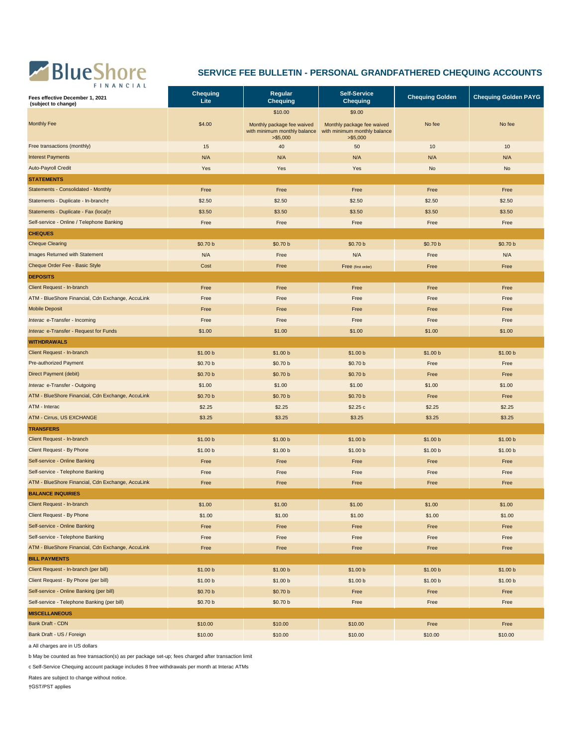

## **SERVICE FEE BULLETIN - PERSONAL GRANDFATHERED CHEQUING ACCOUNTS**

| \$10.00<br>\$9.00<br><b>Monthly Fee</b><br>\$4.00<br>No fee<br>No fee<br>Monthly package fee waived<br>Monthly package fee waived<br>with minimum monthly balance<br>with minimum monthly balance<br>> \$5,000<br>> \$5,000<br>Free transactions (monthly)<br>10<br>15<br>40<br>50<br>10<br><b>Interest Payments</b><br>N/A<br>N/A<br>N/A<br>N/A<br>N/A<br><b>Auto-Payroll Credit</b><br>Yes<br>Yes<br>Yes<br>No<br><b>No</b><br><b>STATEMENTS</b><br>Statements - Consolidated - Monthly<br>Free<br>Free<br>Free<br>Free<br>Free<br>\$2.50<br>\$2.50<br>\$2.50<br>Statements - Duplicate - In-branch+<br>\$2.50<br>\$2.50<br>Statements - Duplicate - Fax (local)+<br>\$3.50<br>\$3.50<br>\$3.50<br>\$3.50<br>\$3.50<br>Self-service - Online / Telephone Banking<br>Free<br>Free<br>Free<br>Free<br>Free<br><b>CHEQUES</b><br><b>Cheque Clearing</b><br>\$0.70 b<br>\$0.70 b<br>\$0.70 b<br>\$0.70 b<br>\$0.70 b<br>Images Returned with Statement<br>N/A<br>N/A<br>N/A<br>Free<br>Free<br>Cheque Order Fee - Basic Style<br>Cost<br>Free<br>Free<br>Free<br>Free (first order)<br><b>DEPOSITS</b><br>Client Request - In-branch<br>Free<br>Free<br>Free<br>Free<br>Free<br>ATM - BlueShore Financial, Cdn Exchange, AccuLink<br>Free<br>Free<br>Free<br>Free<br>Free<br><b>Mobile Deposit</b><br>Free<br>Free<br>Free<br>Free<br>Free<br>Interac e-Transfer - Incoming<br>Free<br>Free<br>Free<br>Free<br>Free<br>\$1.00<br>\$1.00<br>\$1.00<br>\$1.00<br>Interac e-Transfer - Request for Funds<br>\$1.00<br><b>WITHDRAWALS</b><br>Client Request - In-branch<br>\$1.00 b<br>\$1.00 b<br>\$1.00 b<br>\$1.00 b<br>\$1.00 b<br><b>Pre-authorized Payment</b><br>\$0.70 b<br>\$0.70 b<br>\$0.70 b<br>Free<br>Free<br>Direct Payment (debit)<br>\$0.70 b<br>\$0.70 b<br>\$0.70 b<br>Free<br>Free<br>Interac e-Transfer - Outgoing<br>\$1.00<br>\$1.00<br>\$1.00<br>\$1.00<br>\$1.00<br>ATM - BlueShore Financial, Cdn Exchange, AccuLink<br>\$0.70 b<br>\$0.70 b<br>\$0.70 b<br>Free<br>Free<br>ATM - Interac<br>\$2.25<br>\$2.25<br>\$2.25<br>\$2.25c<br>\$2.25<br><b>ATM - Cirrus, US EXCHANGE</b><br>\$3.25<br>\$3.25<br>\$3.25<br>\$3.25<br>\$3.25<br><b>TRANSFERS</b><br>Client Request - In-branch<br>\$1.00 b<br>\$1.00 b<br>\$1.00 b<br>\$1.00 b<br>\$1.00 b<br>Client Request - By Phone<br>\$1.00 b<br>\$1.00 b<br>\$1.00 b<br>\$1.00 b<br>\$1.00 b<br>Self-service - Online Banking<br>Free<br>Free<br>Free<br>Free<br>Free<br>Self-service - Telephone Banking<br>Free<br>Free<br>Free<br>Free<br>Free<br>ATM - BlueShore Financial, Cdn Exchange, AccuLink<br>Free<br>Free<br>Free<br>Free<br>Free<br><b>BALANCE INQUIRIES</b><br>Client Request - In-branch<br>\$1.00<br>\$1.00<br>\$1.00<br>\$1.00<br>\$1.00<br>Client Request - By Phone<br>\$1.00<br>\$1.00<br>\$1.00<br>\$1.00<br>\$1.00<br>Self-service - Online Banking<br>Free<br>Free<br>Free<br>Free<br>Free | <b>FINANCIAL</b><br>Fees effective December 1, 2021<br>(subject to change) | <b>Chequing</b><br>Lite | Regular<br><b>Chequing</b> | <b>Self-Service</b><br><b>Chequing</b> | <b>Chequing Golden</b> | <b>Chequing Golden PAYG</b> |
|-------------------------------------------------------------------------------------------------------------------------------------------------------------------------------------------------------------------------------------------------------------------------------------------------------------------------------------------------------------------------------------------------------------------------------------------------------------------------------------------------------------------------------------------------------------------------------------------------------------------------------------------------------------------------------------------------------------------------------------------------------------------------------------------------------------------------------------------------------------------------------------------------------------------------------------------------------------------------------------------------------------------------------------------------------------------------------------------------------------------------------------------------------------------------------------------------------------------------------------------------------------------------------------------------------------------------------------------------------------------------------------------------------------------------------------------------------------------------------------------------------------------------------------------------------------------------------------------------------------------------------------------------------------------------------------------------------------------------------------------------------------------------------------------------------------------------------------------------------------------------------------------------------------------------------------------------------------------------------------------------------------------------------------------------------------------------------------------------------------------------------------------------------------------------------------------------------------------------------------------------------------------------------------------------------------------------------------------------------------------------------------------------------------------------------------------------------------------------------------------------------------------------------------------------------------------------------------------------------------------------------------------------------------------------------------------------------------------------------------------------------------------------------------------------------------------------------------------------------------------------------------|----------------------------------------------------------------------------|-------------------------|----------------------------|----------------------------------------|------------------------|-----------------------------|
|                                                                                                                                                                                                                                                                                                                                                                                                                                                                                                                                                                                                                                                                                                                                                                                                                                                                                                                                                                                                                                                                                                                                                                                                                                                                                                                                                                                                                                                                                                                                                                                                                                                                                                                                                                                                                                                                                                                                                                                                                                                                                                                                                                                                                                                                                                                                                                                                                                                                                                                                                                                                                                                                                                                                                                                                                                                                                     |                                                                            |                         |                            |                                        |                        |                             |
|                                                                                                                                                                                                                                                                                                                                                                                                                                                                                                                                                                                                                                                                                                                                                                                                                                                                                                                                                                                                                                                                                                                                                                                                                                                                                                                                                                                                                                                                                                                                                                                                                                                                                                                                                                                                                                                                                                                                                                                                                                                                                                                                                                                                                                                                                                                                                                                                                                                                                                                                                                                                                                                                                                                                                                                                                                                                                     |                                                                            |                         |                            |                                        |                        |                             |
|                                                                                                                                                                                                                                                                                                                                                                                                                                                                                                                                                                                                                                                                                                                                                                                                                                                                                                                                                                                                                                                                                                                                                                                                                                                                                                                                                                                                                                                                                                                                                                                                                                                                                                                                                                                                                                                                                                                                                                                                                                                                                                                                                                                                                                                                                                                                                                                                                                                                                                                                                                                                                                                                                                                                                                                                                                                                                     |                                                                            |                         |                            |                                        |                        |                             |
|                                                                                                                                                                                                                                                                                                                                                                                                                                                                                                                                                                                                                                                                                                                                                                                                                                                                                                                                                                                                                                                                                                                                                                                                                                                                                                                                                                                                                                                                                                                                                                                                                                                                                                                                                                                                                                                                                                                                                                                                                                                                                                                                                                                                                                                                                                                                                                                                                                                                                                                                                                                                                                                                                                                                                                                                                                                                                     |                                                                            |                         |                            |                                        |                        |                             |
|                                                                                                                                                                                                                                                                                                                                                                                                                                                                                                                                                                                                                                                                                                                                                                                                                                                                                                                                                                                                                                                                                                                                                                                                                                                                                                                                                                                                                                                                                                                                                                                                                                                                                                                                                                                                                                                                                                                                                                                                                                                                                                                                                                                                                                                                                                                                                                                                                                                                                                                                                                                                                                                                                                                                                                                                                                                                                     |                                                                            |                         |                            |                                        |                        |                             |
|                                                                                                                                                                                                                                                                                                                                                                                                                                                                                                                                                                                                                                                                                                                                                                                                                                                                                                                                                                                                                                                                                                                                                                                                                                                                                                                                                                                                                                                                                                                                                                                                                                                                                                                                                                                                                                                                                                                                                                                                                                                                                                                                                                                                                                                                                                                                                                                                                                                                                                                                                                                                                                                                                                                                                                                                                                                                                     |                                                                            |                         |                            |                                        |                        |                             |
|                                                                                                                                                                                                                                                                                                                                                                                                                                                                                                                                                                                                                                                                                                                                                                                                                                                                                                                                                                                                                                                                                                                                                                                                                                                                                                                                                                                                                                                                                                                                                                                                                                                                                                                                                                                                                                                                                                                                                                                                                                                                                                                                                                                                                                                                                                                                                                                                                                                                                                                                                                                                                                                                                                                                                                                                                                                                                     |                                                                            |                         |                            |                                        |                        |                             |
|                                                                                                                                                                                                                                                                                                                                                                                                                                                                                                                                                                                                                                                                                                                                                                                                                                                                                                                                                                                                                                                                                                                                                                                                                                                                                                                                                                                                                                                                                                                                                                                                                                                                                                                                                                                                                                                                                                                                                                                                                                                                                                                                                                                                                                                                                                                                                                                                                                                                                                                                                                                                                                                                                                                                                                                                                                                                                     |                                                                            |                         |                            |                                        |                        |                             |
|                                                                                                                                                                                                                                                                                                                                                                                                                                                                                                                                                                                                                                                                                                                                                                                                                                                                                                                                                                                                                                                                                                                                                                                                                                                                                                                                                                                                                                                                                                                                                                                                                                                                                                                                                                                                                                                                                                                                                                                                                                                                                                                                                                                                                                                                                                                                                                                                                                                                                                                                                                                                                                                                                                                                                                                                                                                                                     |                                                                            |                         |                            |                                        |                        |                             |
|                                                                                                                                                                                                                                                                                                                                                                                                                                                                                                                                                                                                                                                                                                                                                                                                                                                                                                                                                                                                                                                                                                                                                                                                                                                                                                                                                                                                                                                                                                                                                                                                                                                                                                                                                                                                                                                                                                                                                                                                                                                                                                                                                                                                                                                                                                                                                                                                                                                                                                                                                                                                                                                                                                                                                                                                                                                                                     |                                                                            |                         |                            |                                        |                        |                             |
|                                                                                                                                                                                                                                                                                                                                                                                                                                                                                                                                                                                                                                                                                                                                                                                                                                                                                                                                                                                                                                                                                                                                                                                                                                                                                                                                                                                                                                                                                                                                                                                                                                                                                                                                                                                                                                                                                                                                                                                                                                                                                                                                                                                                                                                                                                                                                                                                                                                                                                                                                                                                                                                                                                                                                                                                                                                                                     |                                                                            |                         |                            |                                        |                        |                             |
|                                                                                                                                                                                                                                                                                                                                                                                                                                                                                                                                                                                                                                                                                                                                                                                                                                                                                                                                                                                                                                                                                                                                                                                                                                                                                                                                                                                                                                                                                                                                                                                                                                                                                                                                                                                                                                                                                                                                                                                                                                                                                                                                                                                                                                                                                                                                                                                                                                                                                                                                                                                                                                                                                                                                                                                                                                                                                     |                                                                            |                         |                            |                                        |                        |                             |
|                                                                                                                                                                                                                                                                                                                                                                                                                                                                                                                                                                                                                                                                                                                                                                                                                                                                                                                                                                                                                                                                                                                                                                                                                                                                                                                                                                                                                                                                                                                                                                                                                                                                                                                                                                                                                                                                                                                                                                                                                                                                                                                                                                                                                                                                                                                                                                                                                                                                                                                                                                                                                                                                                                                                                                                                                                                                                     |                                                                            |                         |                            |                                        |                        |                             |
|                                                                                                                                                                                                                                                                                                                                                                                                                                                                                                                                                                                                                                                                                                                                                                                                                                                                                                                                                                                                                                                                                                                                                                                                                                                                                                                                                                                                                                                                                                                                                                                                                                                                                                                                                                                                                                                                                                                                                                                                                                                                                                                                                                                                                                                                                                                                                                                                                                                                                                                                                                                                                                                                                                                                                                                                                                                                                     |                                                                            |                         |                            |                                        |                        |                             |
|                                                                                                                                                                                                                                                                                                                                                                                                                                                                                                                                                                                                                                                                                                                                                                                                                                                                                                                                                                                                                                                                                                                                                                                                                                                                                                                                                                                                                                                                                                                                                                                                                                                                                                                                                                                                                                                                                                                                                                                                                                                                                                                                                                                                                                                                                                                                                                                                                                                                                                                                                                                                                                                                                                                                                                                                                                                                                     |                                                                            |                         |                            |                                        |                        |                             |
|                                                                                                                                                                                                                                                                                                                                                                                                                                                                                                                                                                                                                                                                                                                                                                                                                                                                                                                                                                                                                                                                                                                                                                                                                                                                                                                                                                                                                                                                                                                                                                                                                                                                                                                                                                                                                                                                                                                                                                                                                                                                                                                                                                                                                                                                                                                                                                                                                                                                                                                                                                                                                                                                                                                                                                                                                                                                                     |                                                                            |                         |                            |                                        |                        |                             |
|                                                                                                                                                                                                                                                                                                                                                                                                                                                                                                                                                                                                                                                                                                                                                                                                                                                                                                                                                                                                                                                                                                                                                                                                                                                                                                                                                                                                                                                                                                                                                                                                                                                                                                                                                                                                                                                                                                                                                                                                                                                                                                                                                                                                                                                                                                                                                                                                                                                                                                                                                                                                                                                                                                                                                                                                                                                                                     |                                                                            |                         |                            |                                        |                        |                             |
|                                                                                                                                                                                                                                                                                                                                                                                                                                                                                                                                                                                                                                                                                                                                                                                                                                                                                                                                                                                                                                                                                                                                                                                                                                                                                                                                                                                                                                                                                                                                                                                                                                                                                                                                                                                                                                                                                                                                                                                                                                                                                                                                                                                                                                                                                                                                                                                                                                                                                                                                                                                                                                                                                                                                                                                                                                                                                     |                                                                            |                         |                            |                                        |                        |                             |
|                                                                                                                                                                                                                                                                                                                                                                                                                                                                                                                                                                                                                                                                                                                                                                                                                                                                                                                                                                                                                                                                                                                                                                                                                                                                                                                                                                                                                                                                                                                                                                                                                                                                                                                                                                                                                                                                                                                                                                                                                                                                                                                                                                                                                                                                                                                                                                                                                                                                                                                                                                                                                                                                                                                                                                                                                                                                                     |                                                                            |                         |                            |                                        |                        |                             |
|                                                                                                                                                                                                                                                                                                                                                                                                                                                                                                                                                                                                                                                                                                                                                                                                                                                                                                                                                                                                                                                                                                                                                                                                                                                                                                                                                                                                                                                                                                                                                                                                                                                                                                                                                                                                                                                                                                                                                                                                                                                                                                                                                                                                                                                                                                                                                                                                                                                                                                                                                                                                                                                                                                                                                                                                                                                                                     |                                                                            |                         |                            |                                        |                        |                             |
|                                                                                                                                                                                                                                                                                                                                                                                                                                                                                                                                                                                                                                                                                                                                                                                                                                                                                                                                                                                                                                                                                                                                                                                                                                                                                                                                                                                                                                                                                                                                                                                                                                                                                                                                                                                                                                                                                                                                                                                                                                                                                                                                                                                                                                                                                                                                                                                                                                                                                                                                                                                                                                                                                                                                                                                                                                                                                     |                                                                            |                         |                            |                                        |                        |                             |
|                                                                                                                                                                                                                                                                                                                                                                                                                                                                                                                                                                                                                                                                                                                                                                                                                                                                                                                                                                                                                                                                                                                                                                                                                                                                                                                                                                                                                                                                                                                                                                                                                                                                                                                                                                                                                                                                                                                                                                                                                                                                                                                                                                                                                                                                                                                                                                                                                                                                                                                                                                                                                                                                                                                                                                                                                                                                                     |                                                                            |                         |                            |                                        |                        |                             |
|                                                                                                                                                                                                                                                                                                                                                                                                                                                                                                                                                                                                                                                                                                                                                                                                                                                                                                                                                                                                                                                                                                                                                                                                                                                                                                                                                                                                                                                                                                                                                                                                                                                                                                                                                                                                                                                                                                                                                                                                                                                                                                                                                                                                                                                                                                                                                                                                                                                                                                                                                                                                                                                                                                                                                                                                                                                                                     |                                                                            |                         |                            |                                        |                        |                             |
|                                                                                                                                                                                                                                                                                                                                                                                                                                                                                                                                                                                                                                                                                                                                                                                                                                                                                                                                                                                                                                                                                                                                                                                                                                                                                                                                                                                                                                                                                                                                                                                                                                                                                                                                                                                                                                                                                                                                                                                                                                                                                                                                                                                                                                                                                                                                                                                                                                                                                                                                                                                                                                                                                                                                                                                                                                                                                     |                                                                            |                         |                            |                                        |                        |                             |
|                                                                                                                                                                                                                                                                                                                                                                                                                                                                                                                                                                                                                                                                                                                                                                                                                                                                                                                                                                                                                                                                                                                                                                                                                                                                                                                                                                                                                                                                                                                                                                                                                                                                                                                                                                                                                                                                                                                                                                                                                                                                                                                                                                                                                                                                                                                                                                                                                                                                                                                                                                                                                                                                                                                                                                                                                                                                                     |                                                                            |                         |                            |                                        |                        |                             |
|                                                                                                                                                                                                                                                                                                                                                                                                                                                                                                                                                                                                                                                                                                                                                                                                                                                                                                                                                                                                                                                                                                                                                                                                                                                                                                                                                                                                                                                                                                                                                                                                                                                                                                                                                                                                                                                                                                                                                                                                                                                                                                                                                                                                                                                                                                                                                                                                                                                                                                                                                                                                                                                                                                                                                                                                                                                                                     |                                                                            |                         |                            |                                        |                        |                             |
|                                                                                                                                                                                                                                                                                                                                                                                                                                                                                                                                                                                                                                                                                                                                                                                                                                                                                                                                                                                                                                                                                                                                                                                                                                                                                                                                                                                                                                                                                                                                                                                                                                                                                                                                                                                                                                                                                                                                                                                                                                                                                                                                                                                                                                                                                                                                                                                                                                                                                                                                                                                                                                                                                                                                                                                                                                                                                     |                                                                            |                         |                            |                                        |                        |                             |
|                                                                                                                                                                                                                                                                                                                                                                                                                                                                                                                                                                                                                                                                                                                                                                                                                                                                                                                                                                                                                                                                                                                                                                                                                                                                                                                                                                                                                                                                                                                                                                                                                                                                                                                                                                                                                                                                                                                                                                                                                                                                                                                                                                                                                                                                                                                                                                                                                                                                                                                                                                                                                                                                                                                                                                                                                                                                                     |                                                                            |                         |                            |                                        |                        |                             |
|                                                                                                                                                                                                                                                                                                                                                                                                                                                                                                                                                                                                                                                                                                                                                                                                                                                                                                                                                                                                                                                                                                                                                                                                                                                                                                                                                                                                                                                                                                                                                                                                                                                                                                                                                                                                                                                                                                                                                                                                                                                                                                                                                                                                                                                                                                                                                                                                                                                                                                                                                                                                                                                                                                                                                                                                                                                                                     |                                                                            |                         |                            |                                        |                        |                             |
|                                                                                                                                                                                                                                                                                                                                                                                                                                                                                                                                                                                                                                                                                                                                                                                                                                                                                                                                                                                                                                                                                                                                                                                                                                                                                                                                                                                                                                                                                                                                                                                                                                                                                                                                                                                                                                                                                                                                                                                                                                                                                                                                                                                                                                                                                                                                                                                                                                                                                                                                                                                                                                                                                                                                                                                                                                                                                     |                                                                            |                         |                            |                                        |                        |                             |
|                                                                                                                                                                                                                                                                                                                                                                                                                                                                                                                                                                                                                                                                                                                                                                                                                                                                                                                                                                                                                                                                                                                                                                                                                                                                                                                                                                                                                                                                                                                                                                                                                                                                                                                                                                                                                                                                                                                                                                                                                                                                                                                                                                                                                                                                                                                                                                                                                                                                                                                                                                                                                                                                                                                                                                                                                                                                                     |                                                                            |                         |                            |                                        |                        |                             |
|                                                                                                                                                                                                                                                                                                                                                                                                                                                                                                                                                                                                                                                                                                                                                                                                                                                                                                                                                                                                                                                                                                                                                                                                                                                                                                                                                                                                                                                                                                                                                                                                                                                                                                                                                                                                                                                                                                                                                                                                                                                                                                                                                                                                                                                                                                                                                                                                                                                                                                                                                                                                                                                                                                                                                                                                                                                                                     |                                                                            |                         |                            |                                        |                        |                             |
|                                                                                                                                                                                                                                                                                                                                                                                                                                                                                                                                                                                                                                                                                                                                                                                                                                                                                                                                                                                                                                                                                                                                                                                                                                                                                                                                                                                                                                                                                                                                                                                                                                                                                                                                                                                                                                                                                                                                                                                                                                                                                                                                                                                                                                                                                                                                                                                                                                                                                                                                                                                                                                                                                                                                                                                                                                                                                     |                                                                            |                         |                            |                                        |                        |                             |
|                                                                                                                                                                                                                                                                                                                                                                                                                                                                                                                                                                                                                                                                                                                                                                                                                                                                                                                                                                                                                                                                                                                                                                                                                                                                                                                                                                                                                                                                                                                                                                                                                                                                                                                                                                                                                                                                                                                                                                                                                                                                                                                                                                                                                                                                                                                                                                                                                                                                                                                                                                                                                                                                                                                                                                                                                                                                                     |                                                                            |                         |                            |                                        |                        |                             |
|                                                                                                                                                                                                                                                                                                                                                                                                                                                                                                                                                                                                                                                                                                                                                                                                                                                                                                                                                                                                                                                                                                                                                                                                                                                                                                                                                                                                                                                                                                                                                                                                                                                                                                                                                                                                                                                                                                                                                                                                                                                                                                                                                                                                                                                                                                                                                                                                                                                                                                                                                                                                                                                                                                                                                                                                                                                                                     |                                                                            |                         |                            |                                        |                        |                             |
|                                                                                                                                                                                                                                                                                                                                                                                                                                                                                                                                                                                                                                                                                                                                                                                                                                                                                                                                                                                                                                                                                                                                                                                                                                                                                                                                                                                                                                                                                                                                                                                                                                                                                                                                                                                                                                                                                                                                                                                                                                                                                                                                                                                                                                                                                                                                                                                                                                                                                                                                                                                                                                                                                                                                                                                                                                                                                     |                                                                            |                         |                            |                                        |                        |                             |
|                                                                                                                                                                                                                                                                                                                                                                                                                                                                                                                                                                                                                                                                                                                                                                                                                                                                                                                                                                                                                                                                                                                                                                                                                                                                                                                                                                                                                                                                                                                                                                                                                                                                                                                                                                                                                                                                                                                                                                                                                                                                                                                                                                                                                                                                                                                                                                                                                                                                                                                                                                                                                                                                                                                                                                                                                                                                                     |                                                                            |                         |                            |                                        |                        |                             |
| Self-service - Telephone Banking<br>Free<br>Free<br>Free<br>Free<br>Free                                                                                                                                                                                                                                                                                                                                                                                                                                                                                                                                                                                                                                                                                                                                                                                                                                                                                                                                                                                                                                                                                                                                                                                                                                                                                                                                                                                                                                                                                                                                                                                                                                                                                                                                                                                                                                                                                                                                                                                                                                                                                                                                                                                                                                                                                                                                                                                                                                                                                                                                                                                                                                                                                                                                                                                                            |                                                                            |                         |                            |                                        |                        |                             |
| ATM - BlueShore Financial, Cdn Exchange, AccuLink<br>Free<br>Free<br>Free<br>Free<br>Free                                                                                                                                                                                                                                                                                                                                                                                                                                                                                                                                                                                                                                                                                                                                                                                                                                                                                                                                                                                                                                                                                                                                                                                                                                                                                                                                                                                                                                                                                                                                                                                                                                                                                                                                                                                                                                                                                                                                                                                                                                                                                                                                                                                                                                                                                                                                                                                                                                                                                                                                                                                                                                                                                                                                                                                           |                                                                            |                         |                            |                                        |                        |                             |
| <b>BILL PAYMENTS</b>                                                                                                                                                                                                                                                                                                                                                                                                                                                                                                                                                                                                                                                                                                                                                                                                                                                                                                                                                                                                                                                                                                                                                                                                                                                                                                                                                                                                                                                                                                                                                                                                                                                                                                                                                                                                                                                                                                                                                                                                                                                                                                                                                                                                                                                                                                                                                                                                                                                                                                                                                                                                                                                                                                                                                                                                                                                                |                                                                            |                         |                            |                                        |                        |                             |
| Client Request - In-branch (per bill)<br>\$1.00 b<br>\$1.00 b<br>\$1.00 b<br>\$1.00 b<br>\$1.00 b                                                                                                                                                                                                                                                                                                                                                                                                                                                                                                                                                                                                                                                                                                                                                                                                                                                                                                                                                                                                                                                                                                                                                                                                                                                                                                                                                                                                                                                                                                                                                                                                                                                                                                                                                                                                                                                                                                                                                                                                                                                                                                                                                                                                                                                                                                                                                                                                                                                                                                                                                                                                                                                                                                                                                                                   |                                                                            |                         |                            |                                        |                        |                             |
| Client Request - By Phone (per bill)<br>\$1.00 b<br>\$1.00 b<br>\$1.00 b<br>\$1.00 b<br>\$1.00 b                                                                                                                                                                                                                                                                                                                                                                                                                                                                                                                                                                                                                                                                                                                                                                                                                                                                                                                                                                                                                                                                                                                                                                                                                                                                                                                                                                                                                                                                                                                                                                                                                                                                                                                                                                                                                                                                                                                                                                                                                                                                                                                                                                                                                                                                                                                                                                                                                                                                                                                                                                                                                                                                                                                                                                                    |                                                                            |                         |                            |                                        |                        |                             |
| Self-service - Online Banking (per bill)<br>\$0.70 b<br>\$0.70 b<br>Free<br>Free<br>Free                                                                                                                                                                                                                                                                                                                                                                                                                                                                                                                                                                                                                                                                                                                                                                                                                                                                                                                                                                                                                                                                                                                                                                                                                                                                                                                                                                                                                                                                                                                                                                                                                                                                                                                                                                                                                                                                                                                                                                                                                                                                                                                                                                                                                                                                                                                                                                                                                                                                                                                                                                                                                                                                                                                                                                                            |                                                                            |                         |                            |                                        |                        |                             |
| Self-service - Telephone Banking (per bill)<br>\$0.70 b<br>\$0.70 b<br>Free<br>Free<br>Free                                                                                                                                                                                                                                                                                                                                                                                                                                                                                                                                                                                                                                                                                                                                                                                                                                                                                                                                                                                                                                                                                                                                                                                                                                                                                                                                                                                                                                                                                                                                                                                                                                                                                                                                                                                                                                                                                                                                                                                                                                                                                                                                                                                                                                                                                                                                                                                                                                                                                                                                                                                                                                                                                                                                                                                         |                                                                            |                         |                            |                                        |                        |                             |
| <b>MISCELLANEOUS</b>                                                                                                                                                                                                                                                                                                                                                                                                                                                                                                                                                                                                                                                                                                                                                                                                                                                                                                                                                                                                                                                                                                                                                                                                                                                                                                                                                                                                                                                                                                                                                                                                                                                                                                                                                                                                                                                                                                                                                                                                                                                                                                                                                                                                                                                                                                                                                                                                                                                                                                                                                                                                                                                                                                                                                                                                                                                                |                                                                            |                         |                            |                                        |                        |                             |
| Bank Draft - CDN<br>\$10.00<br>\$10.00<br>\$10.00<br>Free<br>Free                                                                                                                                                                                                                                                                                                                                                                                                                                                                                                                                                                                                                                                                                                                                                                                                                                                                                                                                                                                                                                                                                                                                                                                                                                                                                                                                                                                                                                                                                                                                                                                                                                                                                                                                                                                                                                                                                                                                                                                                                                                                                                                                                                                                                                                                                                                                                                                                                                                                                                                                                                                                                                                                                                                                                                                                                   |                                                                            |                         |                            |                                        |                        |                             |
|                                                                                                                                                                                                                                                                                                                                                                                                                                                                                                                                                                                                                                                                                                                                                                                                                                                                                                                                                                                                                                                                                                                                                                                                                                                                                                                                                                                                                                                                                                                                                                                                                                                                                                                                                                                                                                                                                                                                                                                                                                                                                                                                                                                                                                                                                                                                                                                                                                                                                                                                                                                                                                                                                                                                                                                                                                                                                     | Bank Draft - US / Foreign                                                  | \$10.00                 | \$10.00                    | \$10.00                                | \$10.00                | \$10.00                     |

a All charges are in US dollars

b May be counted as free transaction(s) as per package set-up; fees charged after transaction limit

c Self-Service Chequing account package includes 8 free withdrawals per month at Interac ATMs

Rates are subject to change without notice.

†GST/PST applies